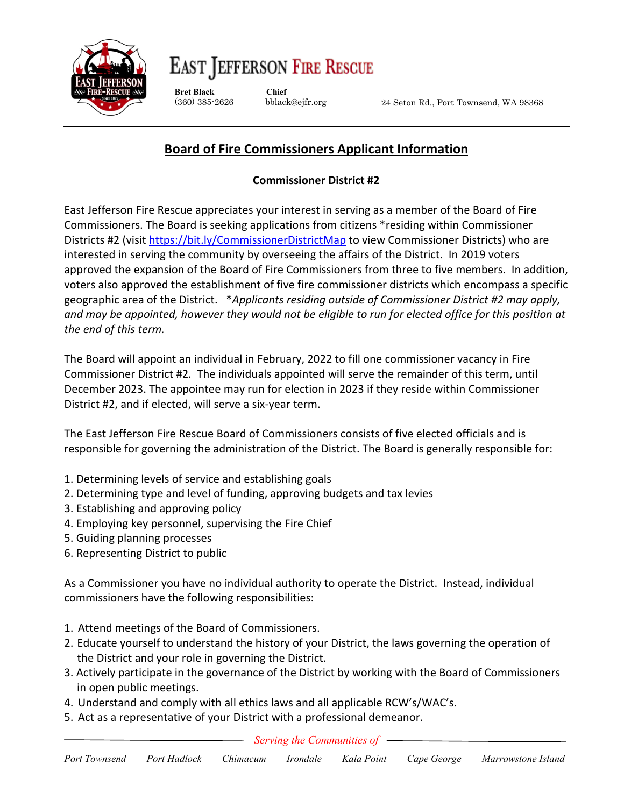

## **EAST JEFFERSON FIRE RESCUE**

**Bret Black Chief**

(360) 385-2626 bblack@ejfr.org

24 Seton Rd., Port Townsend, WA 98368

## **Board of Fire Commissioners Applicant Information**

## **Commissioner District #2**

East Jefferson Fire Rescue appreciates your interest in serving as a member of the Board of Fire Commissioners. The Board is seeking applications from citizens \*residing within Commissioner Districts #2 (visit<https://bit.ly/CommissionerDistrictMap> to view Commissioner Districts) who are interested in serving the community by overseeing the affairs of the District. In 2019 voters approved the expansion of the Board of Fire Commissioners from three to five members. In addition, voters also approved the establishment of five fire commissioner districts which encompass a specific geographic area of the District. \**Applicants residing outside of Commissioner District #2 may apply, and may be appointed, however they would not be eligible to run for elected office for this position at the end of this term.*

The Board will appoint an individual in February, 2022 to fill one commissioner vacancy in Fire Commissioner District #2. The individuals appointed will serve the remainder of this term, until December 2023. The appointee may run for election in 2023 if they reside within Commissioner District #2, and if elected, will serve a six-year term.

The East Jefferson Fire Rescue Board of Commissioners consists of five elected officials and is responsible for governing the administration of the District. The Board is generally responsible for:

- 1. Determining levels of service and establishing goals
- 2. Determining type and level of funding, approving budgets and tax levies
- 3. Establishing and approving policy
- 4. Employing key personnel, supervising the Fire Chief
- 5. Guiding planning processes
- 6. Representing District to public

As a Commissioner you have no individual authority to operate the District. Instead, individual commissioners have the following responsibilities:

- 1. Attend meetings of the Board of Commissioners.
- 2. Educate yourself to understand the history of your District, the laws governing the operation of the District and your role in governing the District.
- 3. Actively participate in the governance of the District by working with the Board of Commissioners in open public meetings.
- 4. Understand and comply with all ethics laws and all applicable RCW's/WAC's.
- 5. Act as a representative of your District with a professional demeanor.

*Serving the Communities of*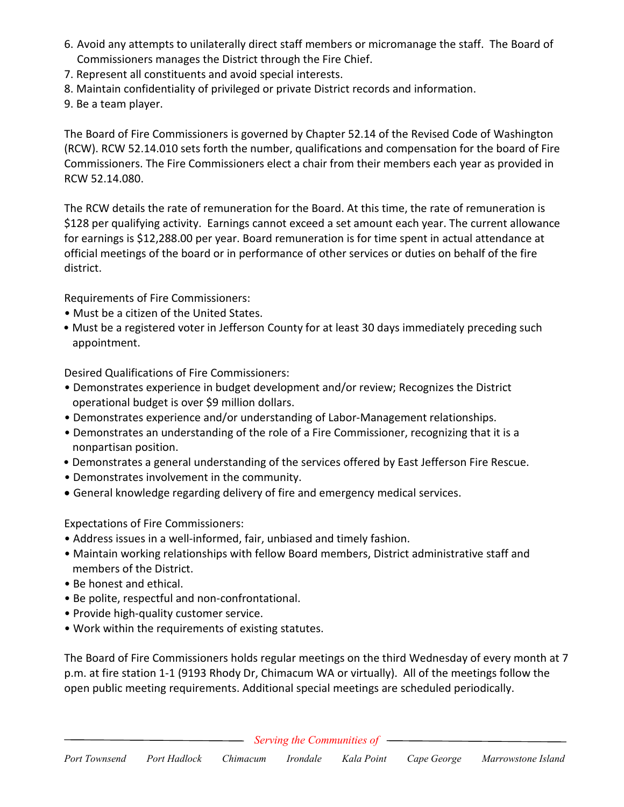- 6. Avoid any attempts to unilaterally direct staff members or micromanage the staff. The Board of Commissioners manages the District through the Fire Chief.
- 7. Represent all constituents and avoid special interests.
- 8. Maintain confidentiality of privileged or private District records and information.
- 9. Be a team player.

The Board of Fire Commissioners is governed by Chapter 52.14 of the Revised Code of Washington (RCW). RCW 52.14.010 sets forth the number, qualifications and compensation for the board of Fire Commissioners. The Fire Commissioners elect a chair from their members each year as provided in RCW 52.14.080.

The RCW details the rate of remuneration for the Board. At this time, the rate of remuneration is \$128 per qualifying activity. Earnings cannot exceed a set amount each year. The current allowance for earnings is \$12,288.00 per year. Board remuneration is for time spent in actual attendance at official meetings of the board or in performance of other services or duties on behalf of the fire district.

Requirements of Fire Commissioners:

- Must be a citizen of the United States.
- Must be a registered voter in Jefferson County for at least 30 days immediately preceding such appointment.

Desired Qualifications of Fire Commissioners:

- Demonstrates experience in budget development and/or review; Recognizes the District operational budget is over \$9 million dollars.
- Demonstrates experience and/or understanding of Labor-Management relationships.
- Demonstrates an understanding of the role of a Fire Commissioner, recognizing that it is a nonpartisan position.
- Demonstrates a general understanding of the services offered by East Jefferson Fire Rescue.
- Demonstrates involvement in the community.
- General knowledge regarding delivery of fire and emergency medical services.

Expectations of Fire Commissioners:

- Address issues in a well-informed, fair, unbiased and timely fashion.
- Maintain working relationships with fellow Board members, District administrative staff and members of the District.
- Be honest and ethical.
- Be polite, respectful and non-confrontational.
- Provide high-quality customer service.
- Work within the requirements of existing statutes.

The Board of Fire Commissioners holds regular meetings on the third Wednesday of every month at 7 p.m. at fire station 1-1 (9193 Rhody Dr, Chimacum WA or virtually). All of the meetings follow the open public meeting requirements. Additional special meetings are scheduled periodically.